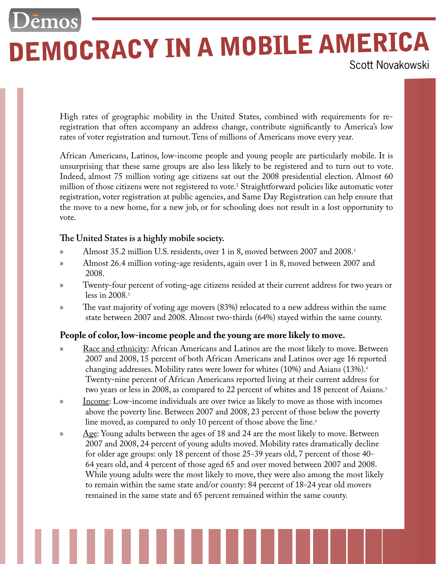# Demos **DEMOCRACY IN A MOBILE AMERICA**

High rates of geographic mobility in the United States, combined with requirements for reregistration that often accompany an address change, contribute significantly to America's low rates of voter registration and turnout.Tens of millions of Americans move every year.

African Americans, Latinos, low-income people and young people are particularly mobile. It is unsurprising that these same groups are also less likely to be registered and to turn out to vote. Indeed, almost 75 million voting age citizens sat out the 2008 presidential election. Almost 60 million of those citizens were not registered to vote.1 Straightforward policies like automatic voter registration, voter registration at public agencies, and Same Day Registration can help ensure that the move to a new home, for a new job, or for schooling does not result in a lost opportunity to vote.

# **The United States is a highly mobile society.**

- Almost 35.2 million U.S. residents, over 1 in 8, moved between 2007 and 2008.2 »
- Almost 26.4 million voting-age residents, again over 1 in 8, moved between 2007 and 2008. »
- Twenty-four percent of voting-age citizens resided at their current address for two years or less in 2008.3 »
- The vast majority of voting age movers (83%) relocated to a new address within the same state between 2007 and 2008. Almost two-thirds (64%) stayed within the same county. »

# **People of color, low-income people and the young are more likely to move.**

- Race and ethnicity: African Americans and Latinos are the most likely to move. Between 2007 and 2008, 15 percent of both African Americans and Latinos over age 16 reported changing addresses. Mobility rates were lower for whites (10%) and Asians (13%).4 Twenty-nine percent of African Americans reported living at their current address for two years or less in 2008, as compared to 22 percent of whites and 18 percent of Asians.<sup>5</sup> »
- Income: Low-income individuals are over twice as likely to move as those with incomes above the poverty line. Between 2007 and 2008, 23 percent of those below the poverty line moved, as compared to only 10 percent of those above the line.<sup>6</sup> »
- $\angle$ Age: Young adults between the ages of 18 and 24 are the most likely to move. Between 2007 and 2008, 24 percent of young adults moved. Mobility rates dramatically decline for older age groups: only 18 percent of those 25-39 years old, 7 percent of those 40- 64 years old, and 4 percent of those aged 65 and over moved between 2007 and 2008. While young adults were the most likely to move, they were also among the most likely to remain within the same state and/or county: 84 percent of 18-24 year old movers remained in the same state and 65 percent remained within the same county. »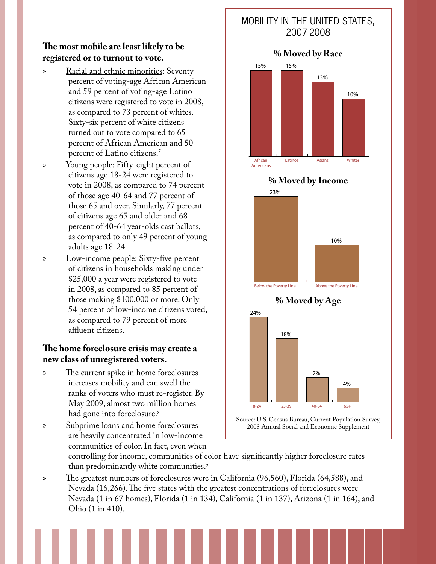# **The most mobile are least likely to be registered or to turnout to vote.**

- Racial and ethnic minorities: Seventy percent of voting-age African American and 59 percent of voting-age Latino citizens were registered to vote in 2008, as compared to 73 percent of whites. Sixty-six percent of white citizens turned out to vote compared to 65 percent of African American and 50 percent of Latino citizens.7 »
- Young people: Fifty-eight percent of citizens age 18-24 were registered to vote in 2008, as compared to 74 percent of those age 40-64 and 77 percent of those 65 and over. Similarly, 77 percent of citizens age 65 and older and 68 percent of 40-64 year-olds cast ballots, as compared to only 49 percent of young adults age 18-24. »
- Low-income people: Sixty-five percent of citizens in households making under \$25,000 a year were registered to vote in 2008, as compared to 85 percent of those making \$100,000 or more. Only 54 percent of low-income citizens voted, as compared to 79 percent of more affluent citizens. »

### **The home foreclosure crisis may create a new class of unregistered voters.**

- The current spike in home foreclosures increases mobility and can swell the ranks of voters who must re-register. By May 2009, almost two million homes had gone into foreclosure.<sup>8</sup> »
- Subprime loans and home foreclosures are heavily concentrated in low-income communities of color.In fact, even when »

# Mobility in the United States, 2007-2008 **% Moved by Race African Latinos Asians Whites Americans 15% 15% 13% 10% % Moved by Income 23%**

**10%**



controlling for income, communities of color have significantly higher foreclosure rates than predominantly white communities.<sup>9</sup>

The greatest numbers of foreclosures were in California (96,560), Florida (64,588), and Nevada (16,266).The five states with the greatest concentrations of foreclosures were Nevada (1 in 67 homes), Florida (1 in 134), California (1 in 137), Arizona (1 in 164), and Ohio (1 in 410). »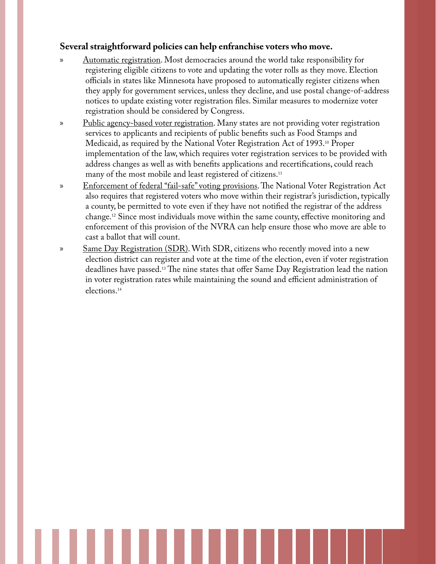### **Several straightforward policies can help enfranchise voters who move.**

- Automatic registration. Most democracies around the world take responsibility for registering eligible citizens to vote and updating the voter rolls as they move. Election officials in states like Minnesota have proposed to automatically register citizens when they apply for government services, unless they decline, and use postal change-of-address notices to update existing voter registration files. Similar measures to modernize voter registration should be considered by Congress. »
- Public agency-based voter registration. Many states are not providing voter registration services to applicants and recipients of public benefits such as Food Stamps and Medicaid, as required by the National Voter Registration Act of 1993.10 Proper implementation of the law, which requires voter registration services to be provided with address changes as well as with benefits applications and recertifications, could reach many of the most mobile and least registered of citizens.<sup>11</sup> »
- Enforcement of federal "fail-safe" voting provisions.The National Voter Registration Act also requires that registered voters who move within their registrar's jurisdiction, typically a county, be permitted to vote even if they have not notified the registrar of the address change.12 Since most individuals move within the same county, effective monitoring and enforcement of this provision of the NVRA can help ensure those who move are able to cast a ballot that will count. »
- Same Day Registration (SDR). With SDR, citizens who recently moved into a new election district can register and vote at the time of the election, even if voter registration deadlines have passed.13 The nine states that offer Same Day Registration lead the nation in voter registration rates while maintaining the sound and efficient administration of elections.14 »